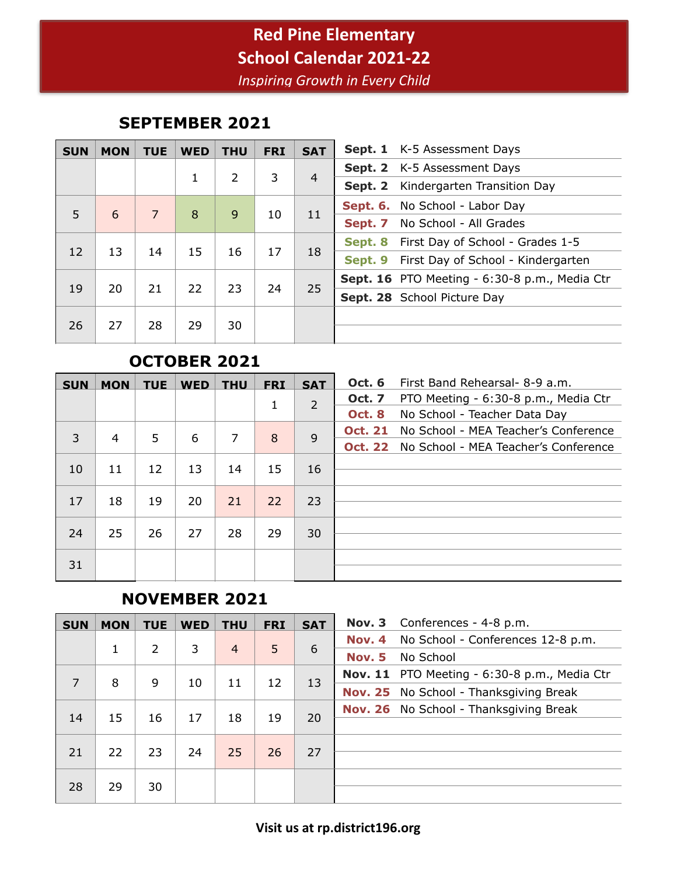# **Red Pine Elementary School Calendar 2021-22**

*Inspiring Growth in Every Child*

#### **SEPTEMBER 2021**

| <b>SUN</b> | <b>MON</b> | <b>TUE</b> | <b>WED</b> | <b>THU</b> | <b>FRI</b> | <b>SAT</b> | Sept. 1 K-5 Assessment Days                   |
|------------|------------|------------|------------|------------|------------|------------|-----------------------------------------------|
|            |            |            |            |            | 3          |            | Sept. 2 K-5 Assessment Days                   |
|            |            |            | 1          | 2          |            | 4          | Kindergarten Transition Day<br>Sept. 2        |
|            |            | 7          |            |            |            | 11         | Sept. 6. No School - Labor Day                |
| 5          | 6          |            | 8          | 9          | 10         |            | No School - All Grades<br>Sept. 7             |
|            |            |            |            |            |            |            | First Day of School - Grades 1-5<br>Sept. 8   |
| 12         | 13         | 14         | 15         | 16         | 17         | 18         | First Day of School - Kindergarten<br>Sept. 9 |
|            |            |            |            |            |            |            | Sept. 16 PTO Meeting - 6:30-8 p.m., Media Ctr |
| 19         | 20         | 21         | 22         | 23         | 24         | 25         | Sept. 28 School Picture Day                   |
| 26         | 27         | 28         | 29         | 30         |            |            |                                               |

#### **OCTOBER 2021**

| <b>SUN</b> | <b>MON</b> | <b>TUE</b> | <b>WED</b> | <b>THU</b> | <b>FRI</b> | <b>SAT</b>     | <b>Oct. 6</b>  | First Band Rehearsal- 8-9 a.m.       |
|------------|------------|------------|------------|------------|------------|----------------|----------------|--------------------------------------|
|            |            |            |            |            | 1          | $\overline{2}$ | <b>Oct. 7</b>  | PTO Meeting - 6:30-8 p.m., Media Ctr |
|            |            |            |            |            |            |                | <b>Oct. 8</b>  | No School - Teacher Data Day         |
| 3          | 4          | 5          | 6          | 7          | 8          | 9              | <b>Oct. 21</b> | No School - MEA Teacher's Conference |
|            |            |            |            |            |            |                | <b>Oct. 22</b> | No School - MEA Teacher's Conference |
| 10         | 11         | 12         | 13         | 14         | 15         | 16             |                |                                      |
|            |            |            |            |            |            |                |                |                                      |
| 17         | 18         | 19         | 20         | 21         | 22         | 23             |                |                                      |
|            |            |            |            |            |            |                |                |                                      |
| 24         | 25         | 26         | 27         | 28         | 29         | 30             |                |                                      |
|            |            |            |            |            |            |                |                |                                      |
|            |            |            |            |            |            |                |                |                                      |
| 31         |            |            |            |            |            |                |                |                                      |

### **NOVEMBER 2021**

| <b>SUN</b>     | <b>MON</b> | <b>TUE</b>    | <b>WED</b> | <b>THU</b>     | <b>FRI</b> | <b>SAT</b> | Nov. 3        | Conferences - 4-8 p.m.                       |
|----------------|------------|---------------|------------|----------------|------------|------------|---------------|----------------------------------------------|
|                |            |               |            |                | 5          |            | Nov. 4        | No School - Conferences 12-8 p.m.            |
|                |            | $\mathcal{L}$ | 3          | $\overline{4}$ |            | 6          | <b>Nov. 5</b> | No School                                    |
| $\overline{7}$ |            |               |            |                |            |            |               | Nov. 11 PTO Meeting - 6:30-8 p.m., Media Ctr |
|                | 8          | 9             | 10         | 11             | 12         | 13         |               | Nov. 25 No School - Thanksgiving Break       |
|                |            |               |            |                |            |            |               | Nov. 26 No School - Thanksgiving Break       |
| 14             | 15         | 16            | 17         | 18             | 19         | 20         |               |                                              |
|                |            |               |            |                |            |            |               |                                              |
| 21             | 22         | 23            | 24         | 25             | 26         | 27         |               |                                              |
|                |            |               |            |                |            |            |               |                                              |
| 28             | 29         | 30            |            |                |            |            |               |                                              |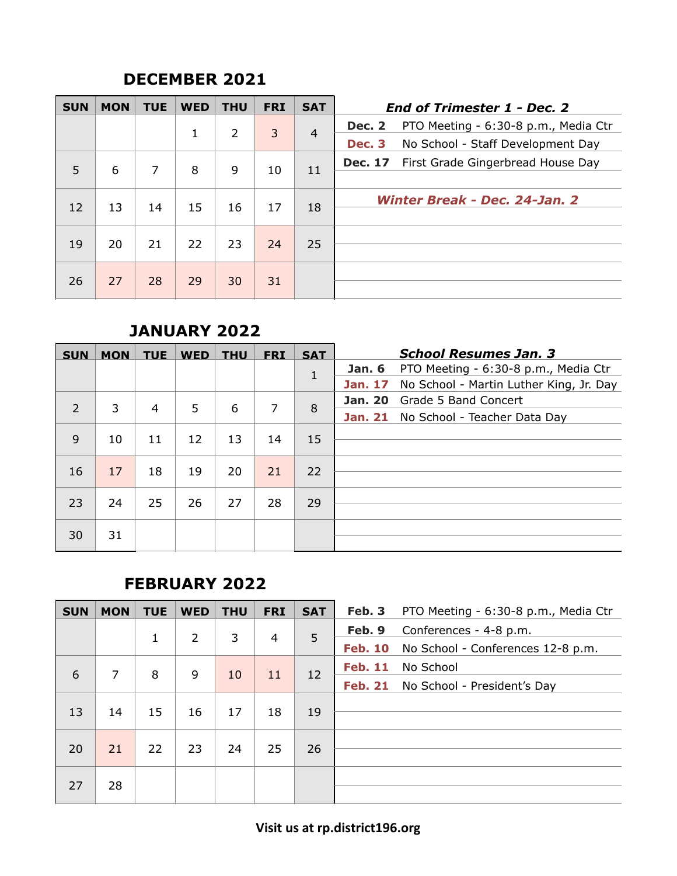### **DECEMBER 2021**

| <b>SUN</b> | <b>MON</b> | <b>TUE</b> | <b>WED</b> | <b>THU</b> | <b>FRI</b> | <b>SAT</b>     | <b>End of Trimester 1 - Dec. 2</b>                    |
|------------|------------|------------|------------|------------|------------|----------------|-------------------------------------------------------|
|            |            |            | 1          | 2          | 3          | $\overline{4}$ | PTO Meeting - 6:30-8 p.m., Media Ctr<br><b>Dec. 2</b> |
|            |            |            |            |            |            |                | No School - Staff Development Day<br><b>Dec. 3</b>    |
| 5          | 6          | 7          | 8          | 9          | 10         | 11             | First Grade Gingerbread House Day<br><b>Dec. 17</b>   |
| 12         | 13         | 14         | 15         | 16         | 17         | 18             | Winter Break - Dec. 24-Jan. 2                         |
| 19         | 20         | 21         | 22         | 23         | 24         | 25             |                                                       |
| 26         | 27         | 28         | 29         | 30         | 31         |                |                                                       |

#### **JANUARY 2022**

| <b>SUN</b>     | <b>MON</b> | <b>TUE</b> | <b>WED</b> | <b>THU</b> | <b>FRI</b> | <b>SAT</b> | <b>School Resumes Jan. 3</b>                              |
|----------------|------------|------------|------------|------------|------------|------------|-----------------------------------------------------------|
|                |            |            |            |            |            | 1          | PTO Meeting - 6:30-8 p.m., Media Ctr<br><b>Jan. 6</b>     |
|                |            |            |            |            |            |            | <b>Jan. 17</b><br>No School - Martin Luther King, Jr. Day |
| $\overline{2}$ | 3          | 4          | 5          | 6          | 7          | 8          | Grade 5 Band Concert<br><b>Jan. 20</b>                    |
|                |            |            |            |            |            |            | Jan. 21 No School - Teacher Data Day                      |
| 9              | 10         | 11         | 12         | 13         | 14         | 15         |                                                           |
|                |            |            |            |            |            |            |                                                           |
| 16             | 17         | 18         | 19         | 20         | 21         | 22         |                                                           |
|                |            |            |            |            |            |            |                                                           |
| 23             | 24         | 25         | 26         | 27         | 28         | 29         |                                                           |
|                |            |            |            |            |            |            |                                                           |
| 30             | 31         |            |            |            |            |            |                                                           |
|                |            |            |            |            |            |            |                                                           |

## **FEBRUARY 2022**

| <b>SUN</b> | <b>MON</b> | <b>TUE</b> | <b>WED</b> | <b>THU</b> | <b>FRI</b>     | <b>SAT</b> | Feb. 3         | PTO Meeting - 6:30-8 p.m., Media Ctr |
|------------|------------|------------|------------|------------|----------------|------------|----------------|--------------------------------------|
|            |            | 1          | 2          | 3          | $\overline{4}$ | 5          | Feb. 9         | Conferences - 4-8 p.m.               |
|            |            |            |            |            |                |            | <b>Feb. 10</b> | No School - Conferences 12-8 p.m.    |
| 6          | 7          | 8          | 9          | 10         | 11             |            | <b>Feb. 11</b> | No School                            |
|            |            |            |            |            |                | 12         | <b>Feb. 21</b> | No School - President's Day          |
| 13         | 14         | 15         | 16         | 17         | 18             | 19         |                |                                      |
|            |            |            |            |            |                |            |                |                                      |
| 20         | 21         | 22         | 23         | 24         | 25             | 26         |                |                                      |
|            |            |            |            |            |                |            |                |                                      |
| 27         | 28         |            |            |            |                |            |                |                                      |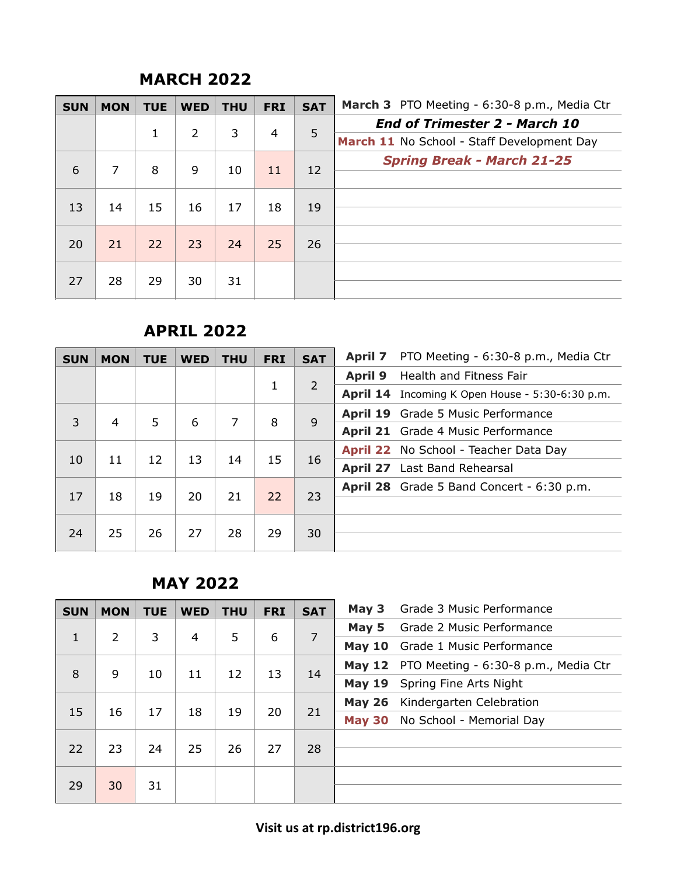#### **MARCH 2022**

| <b>SUN</b> | <b>MON</b> | <b>TUE</b>   | <b>WED</b> | <b>THU</b> | <b>FRI</b>     | <b>SAT</b> | March 3 PTO Meeting - 6:30-8 p.m., Media Ctr |
|------------|------------|--------------|------------|------------|----------------|------------|----------------------------------------------|
|            |            |              |            |            |                | 5          | <b>End of Trimester 2 - March 10</b>         |
|            |            | $\mathbf{1}$ | 2          | 3          | $\overline{4}$ |            | March 11 No School - Staff Development Day   |
| 6          | 7          | 8            | 9          |            | 11             |            | <b>Spring Break - March 21-25</b>            |
|            |            |              |            | 10         |                | 12         |                                              |
|            |            |              |            |            |                |            |                                              |
| 13         | 14         | 15           | 16         | 17         | 18             | 19         |                                              |
|            |            |              |            |            |                |            |                                              |
| 20         | 21         | 22           | 23         | 24         | 25             | 26         |                                              |
|            |            |              |            |            |                |            |                                              |
| 27         | 28         | 29           | 30         | 31         |                |            |                                              |

#### **APRIL 2022**

| <b>SUN</b> | <b>MON</b> | <b>TUE</b> | <b>WED</b> | <b>THU</b> | <b>FRI</b> | <b>SAT</b>     | <b>April 7</b> | PTO Meeting - 6:30-8 p.m., Media Ctr            |
|------------|------------|------------|------------|------------|------------|----------------|----------------|-------------------------------------------------|
|            |            |            |            |            |            |                | <b>April 9</b> | Health and Fitness Fair                         |
|            |            |            |            |            | 1          | $\overline{2}$ |                | April 14 Incoming K Open House - 5:30-6:30 p.m. |
| 3          | 4          | 5.         | 6          | 7          | 8          | 9              |                | <b>April 19</b> Grade 5 Music Performance       |
|            |            |            |            |            |            |                |                | April 21 Grade 4 Music Performance              |
|            |            |            |            |            |            |                |                | April 22 No School - Teacher Data Day           |
| 10         | 11         | 12         | 13         | 14         | 15         | 16             |                | <b>April 27</b> Last Band Rehearsal             |
| 17         | 18         | 19         | 20         | 21         | 22         | 23             |                | April 28 Grade 5 Band Concert - 6:30 p.m.       |
| 24         | 25         | 26         | 27         | 28         | 29         | 30             |                |                                                 |

### **MAY 2022**

| <b>SUN</b>   | <b>MON</b>     | <b>TUE</b> | <b>WED</b>     | <b>THU</b> | <b>FRI</b> | <b>SAT</b> | May 3         | Grade 3 Music Performance                   |
|--------------|----------------|------------|----------------|------------|------------|------------|---------------|---------------------------------------------|
|              |                |            |                |            |            |            | May 5         | Grade 2 Music Performance                   |
| $\mathbf{1}$ | $\overline{2}$ | 3          | $\overline{4}$ | 5          | 6          | 7          | May $10$      | Grade 1 Music Performance                   |
| 8            | 9              | 10         | 11             | 12         | 13         |            |               | May 12 PTO Meeting - 6:30-8 p.m., Media Ctr |
|              |                |            |                |            |            | 14         | <b>May 19</b> | Spring Fine Arts Night                      |
|              |                |            |                |            |            |            | <b>May 26</b> | Kindergarten Celebration                    |
| 15           | 16             | 17         | 18             | 19         | 20         | 21         | <b>May 30</b> | No School - Memorial Day                    |
| 22           | 23             | 24         | 25             | 26         | 27         | 28         |               |                                             |
| 29           | 30             | 31         |                |            |            |            |               |                                             |